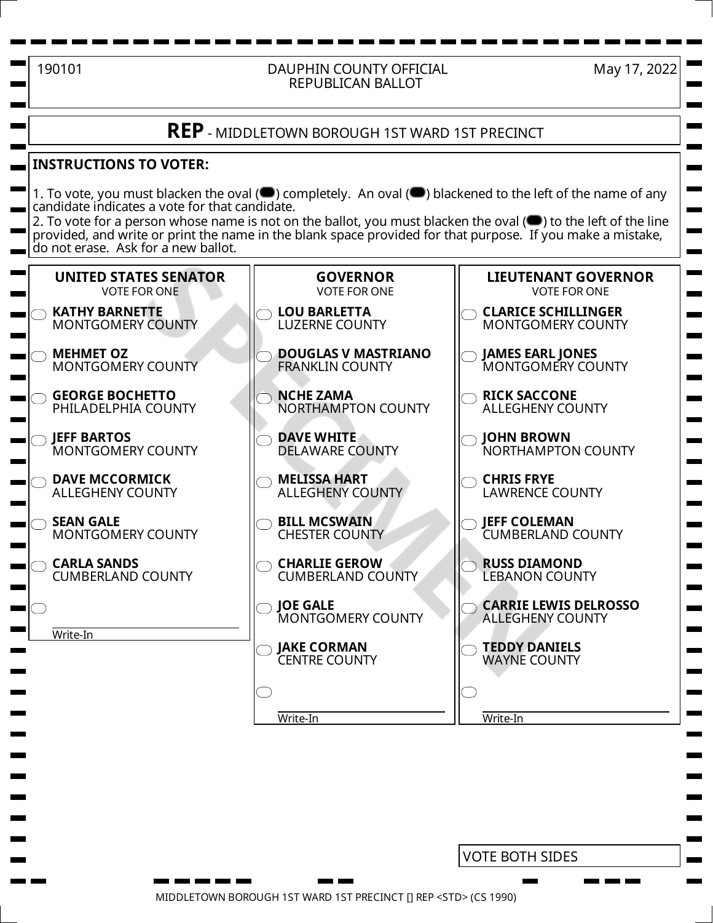## 190101 DAUPHIN COUNTY OFFICIAL REPUBLICAN BALLOT

May 17, 2022

## **REP** - MIDDLETOWN BOROUGH 1ST WARD 1ST PRECINCT **INSTRUCTIONS TO VOTER:** 1. To vote, you must blacken the oval ( $\blacksquare$ ) completely. An oval ( $\blacksquare$ ) blackened to the left of the name of any candidate indicates a vote for that candidate. 2. To vote for a person whose name is not on the ballot, you must blacken the oval  $($ , to the left of the line provided, and write or print the name in the blank space provided for that purpose. If you make a mistake, do not erase. Ask for a new ballot. **UNITED STATES SENATOR** VOTE FOR ONE **KATHY BARNETTE** MONTGOMERY COUNTY **MEHMET OZ** MONTGOMERY COUNTY **GEORGE BOCHETTO** PHILADELPHIA COUNTY **JEFF BARTOS** MONTGOMERY COUNTY **DAVE MCCORMICK** ALLEGHENY COUNTY **SEAN GALE** MONTGOMERY COUNTY **CARLA SANDS** CUMBERLAND COUNTY Write-In **GOVERNOR** VOTE FOR ONE **LOU BARLETTA** LUZERNE COUNTY **DOUGLAS V MASTRIANO** FRANKLIN COUNTY **NCHE ZAMA** NORTHAMPTON COUNTY **DAVE WHITE** DELAWARE COUNTY **MELISSA HART** ALLEGHENY COUNTY **BILL MCSWAIN** CHESTER COUNTY **CHARLIE GEROW** CUMBERLAND COUNTY **JOE GALE** MONTGOMERY COUNTY **JAKE CORMAN** CENTRE COUNTY Write-In **LIEUTENANT GOVERNOR** VOTE FOR ONE **CLARICE SCHILLINGER** MONTGOMERY COUNTY **JAMES EARL JONES** MONTGOMERY COUNTY **RICK SACCONE** ALLEGHENY COUNTY **JOHN BROWN** NORTHAMPTON COUNTY **CHRIS FRYE** LAWRENCE COUNTY **JEFF COLEMAN** CUMBERLAND COUNTY **RUSS DIAMOND** LEBANON COUNTY **CARRIE LEWIS DELROSSO** ALLEGHENY COUNTY **TEDDY DANIELS** WAYNE COUNTY Write-In

VOTE BOTH SIDES